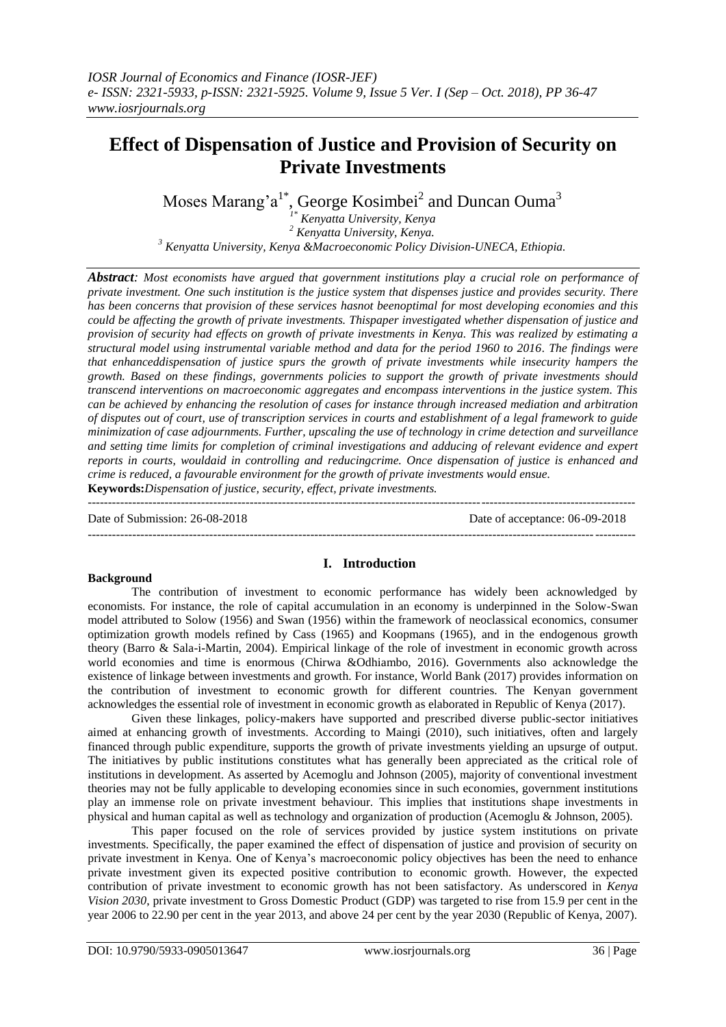# **Effect of Dispensation of Justice and Provision of Security on Private Investments**

Moses Marang'a<sup>1\*</sup>, George Kosimbei<sup>2</sup> and Duncan Ouma<sup>3</sup>

*1\* Kenyatta University, Kenya <sup>2</sup> Kenyatta University, Kenya. <sup>3</sup> Kenyatta University, Kenya &Macroeconomic Policy Division-UNECA, Ethiopia.*

*Abstract: Most economists have argued that government institutions play a crucial role on performance of private investment. One such institution is the justice system that dispenses justice and provides security. There has been concerns that provision of these services hasnot beenoptimal for most developing economies and this could be affecting the growth of private investments. Thispaper investigated whether dispensation of justice and provision of security had effects on growth of private investments in Kenya. This was realized by estimating a structural model using instrumental variable method and data for the period 1960 to 2016. The findings were that enhanceddispensation of justice spurs the growth of private investments while insecurity hampers the growth. Based on these findings, governments policies to support the growth of private investments should transcend interventions on macroeconomic aggregates and encompass interventions in the justice system. This can be achieved by enhancing the resolution of cases for instance through increased mediation and arbitration of disputes out of court, use of transcription services in courts and establishment of a legal framework to guide minimization of case adjournments. Further, upscaling the use of technology in crime detection and surveillance and setting time limits for completion of criminal investigations and adducing of relevant evidence and expert reports in courts, wouldaid in controlling and reducingcrime. Once dispensation of justice is enhanced and crime is reduced, a favourable environment for the growth of private investments would ensue.* **Keywords:***Dispensation of justice, security, effect, private investments.*

---------------------------------------------------------------------------------------------------------------------------------------

---------------------------------------------------------------------------------------------------------------------------------------

Date of Submission: 26-08-2018 Date of acceptance: 06-09-2018

# **Background**

# **I. Introduction**

The contribution of investment to economic performance has widely been acknowledged by economists. For instance, the role of capital accumulation in an economy is underpinned in the Solow-Swan model attributed to Solow (1956) and Swan (1956) within the framework of neoclassical economics, consumer optimization growth models refined by Cass (1965) and Koopmans (1965), and in the endogenous growth theory (Barro & Sala-i-Martin, 2004). Empirical linkage of the role of investment in economic growth across world economies and time is enormous (Chirwa &Odhiambo, 2016). Governments also acknowledge the existence of linkage between investments and growth. For instance, World Bank (2017) provides information on the contribution of investment to economic growth for different countries. The Kenyan government acknowledges the essential role of investment in economic growth as elaborated in Republic of Kenya (2017).

Given these linkages, policy-makers have supported and prescribed diverse public-sector initiatives aimed at enhancing growth of investments. According to Maingi (2010), such initiatives, often and largely financed through public expenditure, supports the growth of private investments yielding an upsurge of output. The initiatives by public institutions constitutes what has generally been appreciated as the critical role of institutions in development. As asserted by Acemoglu and Johnson (2005), majority of conventional investment theories may not be fully applicable to developing economies since in such economies, government institutions play an immense role on private investment behaviour. This implies that institutions shape investments in physical and human capital as well as technology and organization of production (Acemoglu & Johnson, 2005).

This paper focused on the role of services provided by justice system institutions on private investments. Specifically, the paper examined the effect of dispensation of justice and provision of security on private investment in Kenya. One of Kenya's macroeconomic policy objectives has been the need to enhance private investment given its expected positive contribution to economic growth. However, the expected contribution of private investment to economic growth has not been satisfactory. As underscored in *Kenya Vision 2030*, private investment to Gross Domestic Product (GDP) was targeted to rise from 15.9 per cent in the year 2006 to 22.90 per cent in the year 2013, and above 24 per cent by the year 2030 (Republic of Kenya, 2007).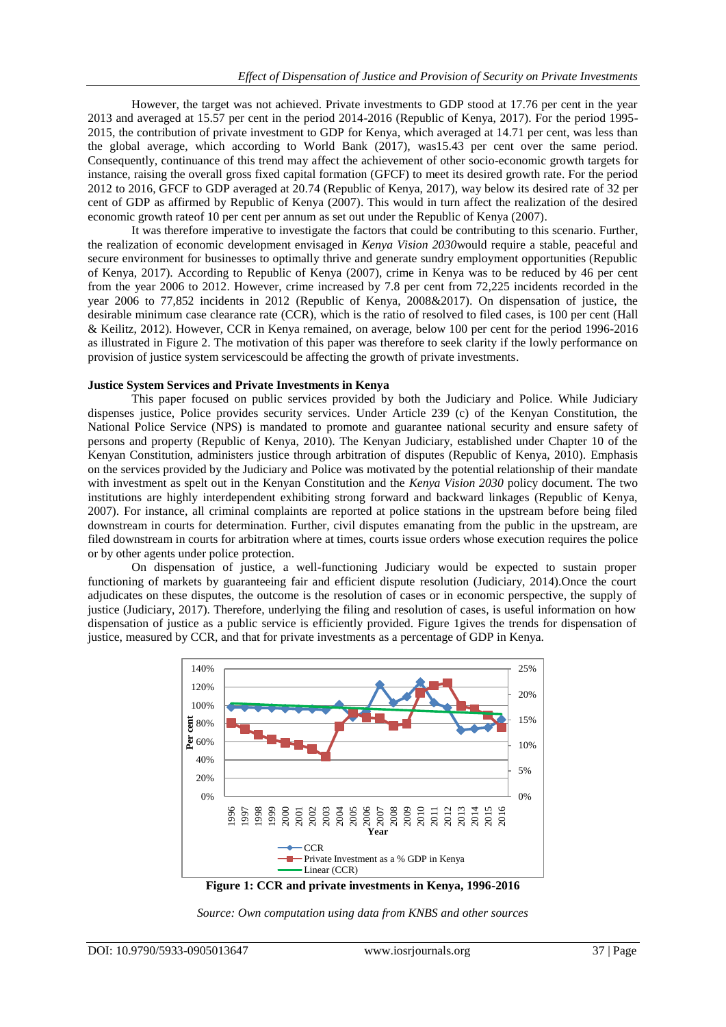However, the target was not achieved. Private investments to GDP stood at 17.76 per cent in the year 2013 and averaged at 15.57 per cent in the period 2014-2016 (Republic of Kenya, 2017). For the period 1995- 2015, the contribution of private investment to GDP for Kenya, which averaged at 14.71 per cent, was less than the global average, which according to World Bank (2017), was15.43 per cent over the same period. Consequently, continuance of this trend may affect the achievement of other socio-economic growth targets for instance, raising the overall gross fixed capital formation (GFCF) to meet its desired growth rate. For the period 2012 to 2016, GFCF to GDP averaged at 20.74 (Republic of Kenya, 2017), way below its desired rate of 32 per cent of GDP as affirmed by Republic of Kenya (2007). This would in turn affect the realization of the desired economic growth rateof 10 per cent per annum as set out under the Republic of Kenya (2007).

It was therefore imperative to investigate the factors that could be contributing to this scenario. Further, the realization of economic development envisaged in *Kenya Vision 2030*would require a stable, peaceful and secure environment for businesses to optimally thrive and generate sundry employment opportunities (Republic of Kenya, 2017). According to Republic of Kenya (2007), crime in Kenya was to be reduced by 46 per cent from the year 2006 to 2012. However, crime increased by 7.8 per cent from 72,225 incidents recorded in the year 2006 to 77,852 incidents in 2012 (Republic of Kenya, 2008&2017). On dispensation of justice, the desirable minimum case clearance rate (CCR), which is the ratio of resolved to filed cases, is 100 per cent (Hall & Keilitz, 2012). However, CCR in Kenya remained, on average, below 100 per cent for the period 1996-2016 as illustrated in Figure 2. The motivation of this paper was therefore to seek clarity if the lowly performance on provision of justice system servicescould be affecting the growth of private investments.

## **Justice System Services and Private Investments in Kenya**

This paper focused on public services provided by both the Judiciary and Police. While Judiciary dispenses justice, Police provides security services. Under Article 239 (c) of the Kenyan Constitution, the National Police Service (NPS) is mandated to promote and guarantee national security and ensure safety of persons and property (Republic of Kenya, 2010). The Kenyan Judiciary, established under Chapter 10 of the Kenyan Constitution, administers justice through arbitration of disputes (Republic of Kenya, 2010). Emphasis on the services provided by the Judiciary and Police was motivated by the potential relationship of their mandate with investment as spelt out in the Kenyan Constitution and the *Kenya Vision 2030* policy document. The two institutions are highly interdependent exhibiting strong forward and backward linkages (Republic of Kenya, 2007). For instance, all criminal complaints are reported at police stations in the upstream before being filed downstream in courts for determination. Further, civil disputes emanating from the public in the upstream, are filed downstream in courts for arbitration where at times, courts issue orders whose execution requires the police or by other agents under police protection.

On dispensation of justice, a well-functioning Judiciary would be expected to sustain proper functioning of markets by guaranteeing fair and efficient dispute resolution (Judiciary, 2014).Once the court adjudicates on these disputes, the outcome is the resolution of cases or in economic perspective, the supply of justice (Judiciary, 2017). Therefore, underlying the filing and resolution of cases, is useful information on how dispensation of justice as a public service is efficiently provided. Figure 1gives the trends for dispensation of justice, measured by CCR, and that for private investments as a percentage of GDP in Kenya.



**Figure 1: CCR and private investments in Kenya, 1996-2016**

*Source: Own computation using data from KNBS and other sources*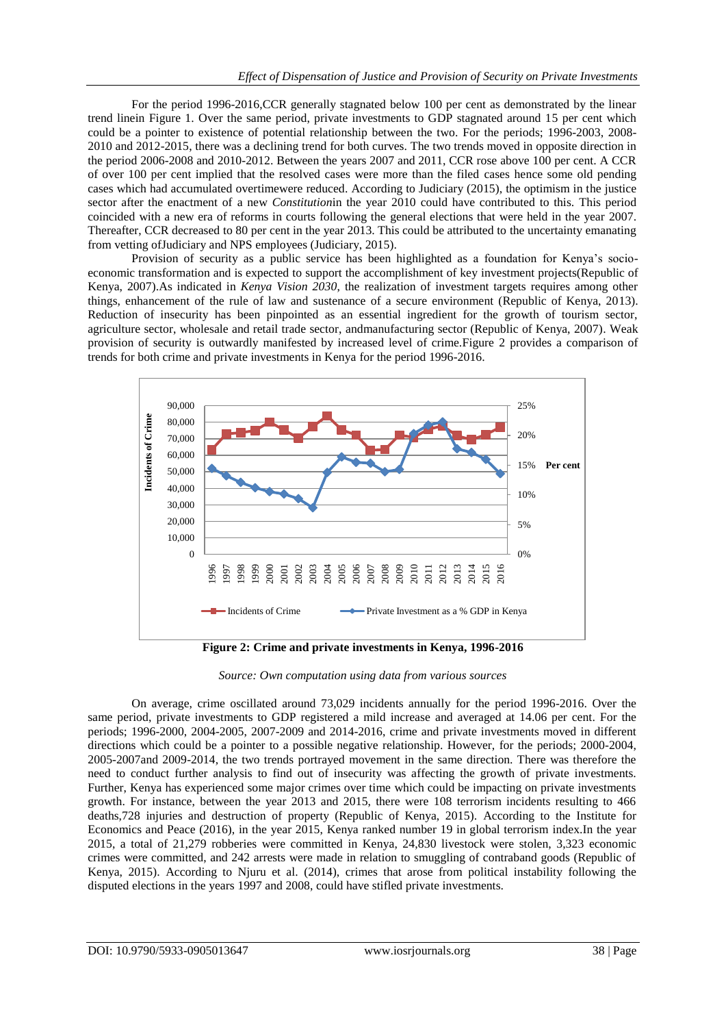For the period 1996-2016,CCR generally stagnated below 100 per cent as demonstrated by the linear trend linein Figure 1. Over the same period, private investments to GDP stagnated around 15 per cent which could be a pointer to existence of potential relationship between the two. For the periods; 1996-2003, 2008- 2010 and 2012-2015, there was a declining trend for both curves. The two trends moved in opposite direction in the period 2006-2008 and 2010-2012. Between the years 2007 and 2011, CCR rose above 100 per cent. A CCR of over 100 per cent implied that the resolved cases were more than the filed cases hence some old pending cases which had accumulated overtimewere reduced. According to Judiciary (2015), the optimism in the justice sector after the enactment of a new *Constitution*in the year 2010 could have contributed to this. This period coincided with a new era of reforms in courts following the general elections that were held in the year 2007. Thereafter, CCR decreased to 80 per cent in the year 2013. This could be attributed to the uncertainty emanating from vetting ofJudiciary and NPS employees (Judiciary, 2015).

Provision of security as a public service has been highlighted as a foundation for Kenya's socioeconomic transformation and is expected to support the accomplishment of key investment projects(Republic of Kenya, 2007).As indicated in *Kenya Vision 2030*, the realization of investment targets requires among other things, enhancement of the rule of law and sustenance of a secure environment (Republic of Kenya, 2013). Reduction of insecurity has been pinpointed as an essential ingredient for the growth of tourism sector, agriculture sector, wholesale and retail trade sector, andmanufacturing sector (Republic of Kenya, 2007). Weak provision of security is outwardly manifested by increased level of crime.Figure 2 provides a comparison of trends for both crime and private investments in Kenya for the period 1996-2016.



**Figure 2: Crime and private investments in Kenya, 1996-2016**

*Source: Own computation using data from various sources*

On average, crime oscillated around 73,029 incidents annually for the period 1996-2016. Over the same period, private investments to GDP registered a mild increase and averaged at 14.06 per cent. For the periods; 1996-2000, 2004-2005, 2007-2009 and 2014-2016, crime and private investments moved in different directions which could be a pointer to a possible negative relationship. However, for the periods; 2000-2004, 2005-2007and 2009-2014, the two trends portrayed movement in the same direction. There was therefore the need to conduct further analysis to find out of insecurity was affecting the growth of private investments. Further, Kenya has experienced some major crimes over time which could be impacting on private investments growth. For instance, between the year 2013 and 2015, there were 108 terrorism incidents resulting to 466 deaths,728 injuries and destruction of property (Republic of Kenya, 2015). According to the Institute for Economics and Peace (2016), in the year 2015, Kenya ranked number 19 in global terrorism index.In the year 2015, a total of 21,279 robberies were committed in Kenya, 24,830 livestock were stolen, 3,323 economic crimes were committed, and 242 arrests were made in relation to smuggling of contraband goods (Republic of Kenya, 2015). According to Njuru et al. (2014), crimes that arose from political instability following the disputed elections in the years 1997 and 2008, could have stifled private investments.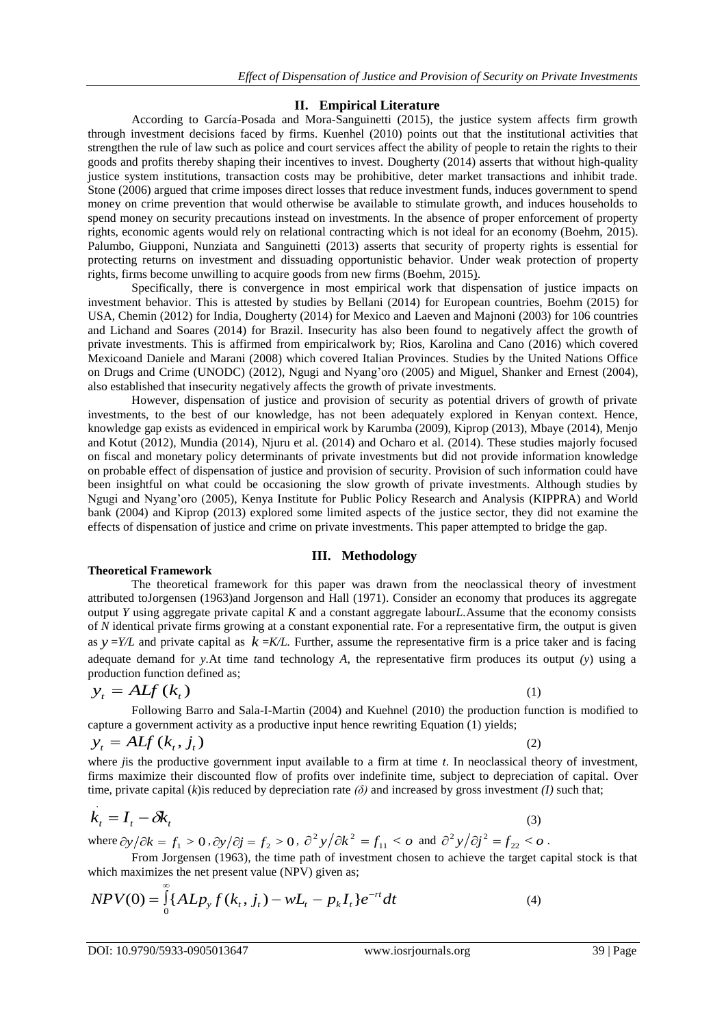# **II. Empirical Literature**

According to García-Posada and Mora-Sanguinetti (2015), the justice system affects firm growth through investment decisions faced by firms. Kuenhel (2010) points out that the institutional activities that strengthen the rule of law such as police and court services affect the ability of people to retain the rights to their goods and profits thereby shaping their incentives to invest. Dougherty (2014) asserts that without high-quality justice system institutions, transaction costs may be prohibitive, deter market transactions and inhibit trade. Stone (2006) argued that crime imposes direct losses that reduce investment funds, induces government to spend money on crime prevention that would otherwise be available to stimulate growth, and induces households to spend money on security precautions instead on investments. In the absence of proper enforcement of property rights, economic agents would rely on relational contracting which is not ideal for an economy (Boehm, 2015). Palumbo, Giupponi, Nunziata and Sanguinetti (2013) asserts that security of property rights is essential for protecting returns on investment and dissuading opportunistic behavior. Under weak protection of property rights, firms become unwilling to acquire goods from new firms (Boehm, 2015).

Specifically, there is convergence in most empirical work that dispensation of justice impacts on investment behavior. This is attested by studies by Bellani (2014) for European countries, Boehm (2015) for USA, Chemin (2012) for India, Dougherty (2014) for Mexico and Laeven and Majnoni (2003) for 106 countries and Lichand and Soares (2014) for Brazil. Insecurity has also been found to negatively affect the growth of private investments. This is affirmed from empiricalwork by; Rios, Karolina and Cano (2016) which covered Mexicoand Daniele and Marani (2008) which covered Italian Provinces. Studies by the United Nations Office on Drugs and Crime (UNODC) (2012), Ngugi and Nyang'oro (2005) and Miguel, Shanker and Ernest (2004), also established that insecurity negatively affects the growth of private investments.

However, dispensation of justice and provision of security as potential drivers of growth of private investments, to the best of our knowledge, has not been adequately explored in Kenyan context. Hence, knowledge gap exists as evidenced in empirical work by Karumba (2009), Kiprop (2013), Mbaye (2014), Menjo and Kotut (2012), Mundia (2014), Njuru et al. (2014) and Ocharo et al. (2014). These studies majorly focused on fiscal and monetary policy determinants of private investments but did not provide information knowledge on probable effect of dispensation of justice and provision of security. Provision of such information could have been insightful on what could be occasioning the slow growth of private investments. Although studies by Ngugi and Nyang'oro (2005), Kenya Institute for Public Policy Research and Analysis (KIPPRA) and World bank (2004) and Kiprop (2013) explored some limited aspects of the justice sector, they did not examine the effects of dispensation of justice and crime on private investments. This paper attempted to bridge the gap.

# **III. Methodology**

## **Theoretical Framework**

The theoretical framework for this paper was drawn from the neoclassical theory of investment attributed toJorgensen (1963)and Jorgenson and Hall (1971). Consider an economy that produces its aggregate output *Y* using aggregate private capital *K* and a constant aggregate labour*L.*Assume that the economy consists of *N* identical private firms growing at a constant exponential rate. For a representative firm, the output is given as  $y = Y/L$  and private capital as  $k = K/L$ . Further, assume the representative firm is a price taker and is facing adequate demand for *y.*At time *t*and technology *A*, the representative firm produces its output *(y*) using a production function defined as;

$$
y_t = A L f(k_t) \tag{1}
$$

Following Barro and Sala-I-Martin (2004) and Kuehnel (2010) the production function is modified to capture a government activity as a productive input hence rewriting Equation (1) yields;

$$
y_t = A L f\left(k_t, j_t\right)
$$

(2)

where *j* is the productive government input available to a firm at time *t*. In neoclassical theory of investment, firms maximize their discounted flow of profits over indefinite time, subject to depreciation of capital. Over time, private capital (*k*) is reduced by depreciation rate  $(\delta)$  and increased by gross investment *(I)* such that;

$$
\dot{k}_t = I_t - \delta k_t \tag{3}
$$

where  $\frac{\partial y}{\partial k} = f_1 > 0$ ,  $\frac{\partial y}{\partial j} = f_2 > 0$ ,  $\frac{\partial^2 y}{\partial k^2} = f_{11} < 0$  and  $\frac{\partial^2 y}{\partial j^2} = f_{22} < 0$ .

From Jorgensen (1963), the time path of investment chosen to achieve the target capital stock is that which maximizes the net present value (NPV) given as;

$$
NPV(0) = \int_{0}^{\infty} \{ALp_y f(k_t, j_t) - wL_t - p_k I_t\} e^{-rt} dt
$$
\n(4)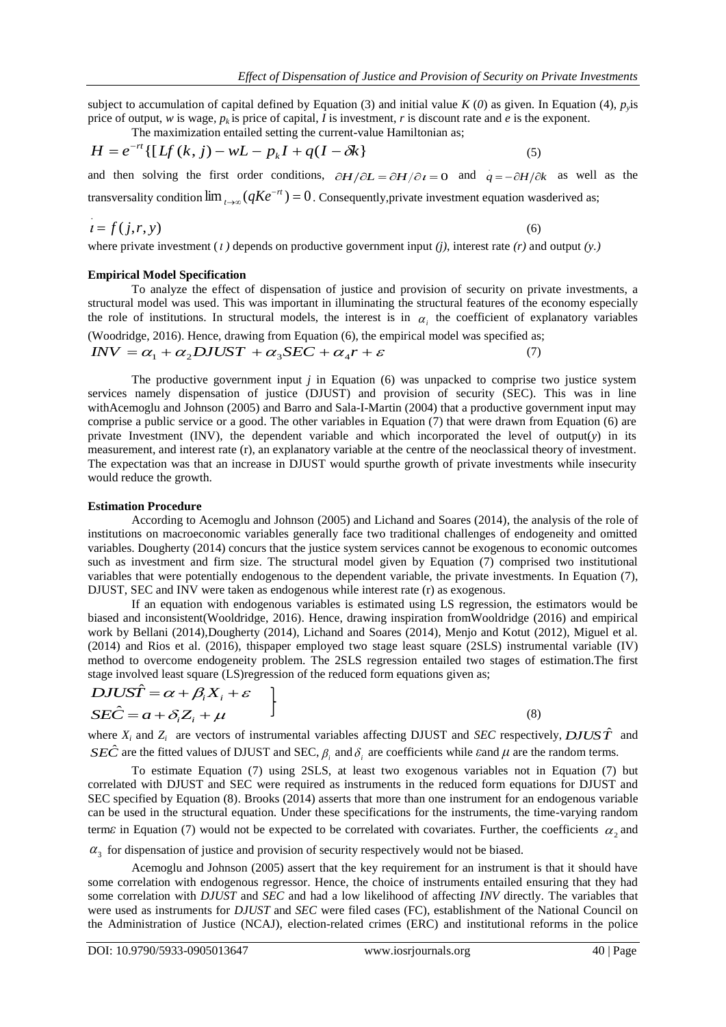subject to accumulation of capital defined by Equation (3) and initial value  $K(0)$  as given. In Equation (4),  $p<sub>y</sub>$  is price of output, *w* is wage,  $p_k$  is price of capital, *I* is investment, *r* is discount rate and *e* is the exponent.

The maximization entailed setting the current-value Hamiltonian as;

$$
H = e^{-rt} \{ [Lf(k, j) - wL - p_k I + q(I - \delta k] \tag{5}
$$

and then solving the first order conditions,  $\partial H/\partial L = \partial H/\partial t = 0$  and  $q = -\partial H/\partial k$  as well as the transversality condition  $\lim_{t\to\infty} (qKe^{-rt}) = 0$ →∞  $f(x) = qKe^{-rt}$  = 0. Consequently, private investment equation was derived as;

$$
i = f(j, r, y) \tag{6}
$$

where private investment  $(i)$  depends on productive government input  $(j)$ , interest rate  $(r)$  and output  $(y)$ .

#### **Empirical Model Specification**

To analyze the effect of dispensation of justice and provision of security on private investments, a structural model was used. This was important in illuminating the structural features of the economy especially the role of institutions. In structural models, the interest is in  $\alpha_i$  the coefficient of explanatory variables (Woodridge, 2016). Hence, drawing from Equation (6), the empirical model was specified as;

 $\overline{INV} = \alpha_1 + \alpha_2 \overline{DJUST} + \alpha_3 \overline{SEC} + \alpha_4 r + \varepsilon$ (7)

The productive government input *j* in Equation (6) was unpacked to comprise two justice system services namely dispensation of justice (DJUST) and provision of security (SEC). This was in line withAcemoglu and Johnson (2005) and Barro and Sala-I-Martin (2004) that a productive government input may comprise a public service or a good. The other variables in Equation (7) that were drawn from Equation (6) are private Investment (INV), the dependent variable and which incorporated the level of output(*y*) in its measurement, and interest rate (r), an explanatory variable at the centre of the neoclassical theory of investment. The expectation was that an increase in DJUST would spurthe growth of private investments while insecurity would reduce the growth.

#### **Estimation Procedure**

According to Acemoglu and Johnson (2005) and Lichand and Soares (2014), the analysis of the role of institutions on macroeconomic variables generally face two traditional challenges of endogeneity and omitted variables. Dougherty (2014) concurs that the justice system services cannot be exogenous to economic outcomes such as investment and firm size. The structural model given by Equation (7) comprised two institutional variables that were potentially endogenous to the dependent variable, the private investments. In Equation (7), DJUST, SEC and INV were taken as endogenous while interest rate (r) as exogenous.

If an equation with endogenous variables is estimated using LS regression, the estimators would be biased and inconsistent(Wooldridge, 2016). Hence, drawing inspiration fromWooldridge (2016) and empirical work by Bellani (2014),Dougherty (2014), Lichand and Soares (2014), Menjo and Kotut (2012), Miguel et al. (2014) and Rios et al. (2016), thispaper employed two stage least square (2SLS) instrumental variable (IV) method to overcome endogeneity problem. The 2SLS regression entailed two stages of estimation.The first stage involved least square (LS)regression of the reduced form equations given as;

$$
DJUS\hat{T} = \alpha + \beta_i X_i + \varepsilon
$$
  
\n
$$
SE\hat{C} = a + \delta_i Z_i + \mu
$$
 (8)

where  $X_i$  and  $Z_i$  are vectors of instrumental variables affecting DJUST and *SEC* respectively, *DJUST* and *SEC* are the fitted values of DJUST and SEC,  $\beta_i$  and  $\delta_i$  are coefficients while  $\epsilon$  and  $\mu$  are the random terms.

To estimate Equation (7) using 2SLS, at least two exogenous variables not in Equation (7) but correlated with DJUST and SEC were required as instruments in the reduced form equations for DJUST and SEC specified by Equation (8). Brooks (2014) asserts that more than one instrument for an endogenous variable can be used in the structural equation. Under these specifications for the instruments, the time-varying random term $\varepsilon$  in Equation (7) would not be expected to be correlated with covariates. Further, the coefficients  $\alpha_2$  and

 $\alpha_3$  for dispensation of justice and provision of security respectively would not be biased.

Acemoglu and Johnson (2005) assert that the key requirement for an instrument is that it should have some correlation with endogenous regressor. Hence, the choice of instruments entailed ensuring that they had some correlation with *DJUST* and *SEC* and had a low likelihood of affecting *INV* directly. The variables that were used as instruments for *DJUST* and *SEC* were filed cases (FC), establishment of the National Council on the Administration of Justice (NCAJ), election-related crimes (ERC) and institutional reforms in the police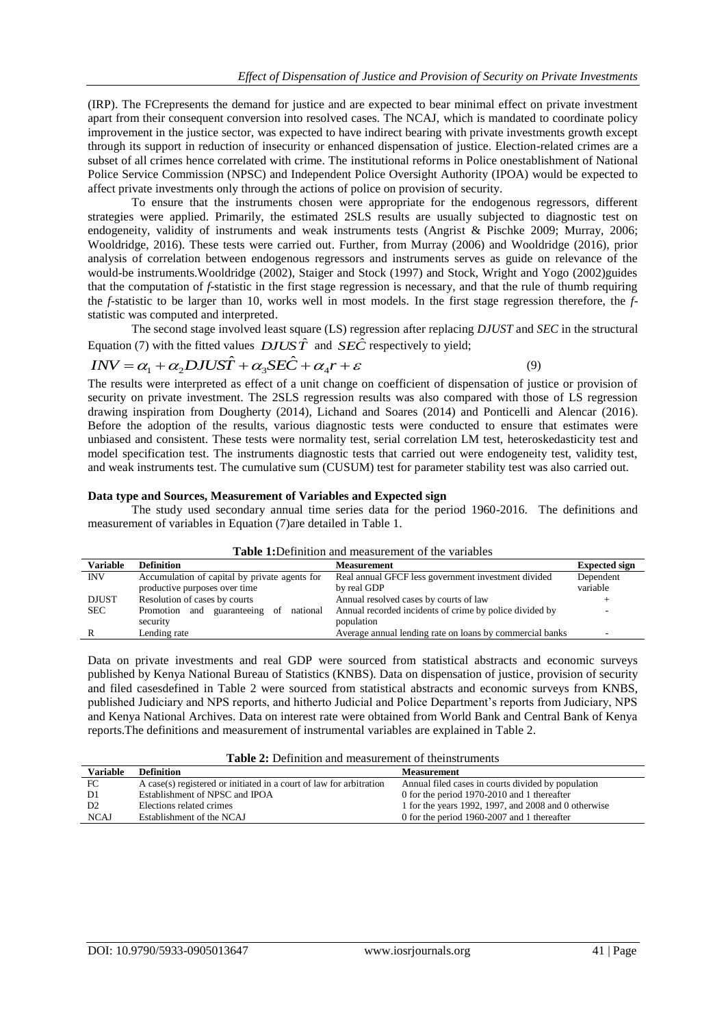(IRP). The FCrepresents the demand for justice and are expected to bear minimal effect on private investment apart from their consequent conversion into resolved cases. The NCAJ, which is mandated to coordinate policy improvement in the justice sector, was expected to have indirect bearing with private investments growth except through its support in reduction of insecurity or enhanced dispensation of justice. Election-related crimes are a subset of all crimes hence correlated with crime. The institutional reforms in Police onestablishment of National Police Service Commission (NPSC) and Independent Police Oversight Authority (IPOA) would be expected to affect private investments only through the actions of police on provision of security.

To ensure that the instruments chosen were appropriate for the endogenous regressors, different strategies were applied. Primarily, the estimated 2SLS results are usually subjected to diagnostic test on endogeneity, validity of instruments and weak instruments tests (Angrist & Pischke 2009; Murray, 2006; Wooldridge, 2016). These tests were carried out. Further, from Murray (2006) and Wooldridge (2016), prior analysis of correlation between endogenous regressors and instruments serves as guide on relevance of the would-be instruments.Wooldridge (2002), Staiger and Stock (1997) and Stock, Wright and Yogo (2002)guides that the computation of *f*-statistic in the first stage regression is necessary, and that the rule of thumb requiring the *f*-statistic to be larger than 10, works well in most models. In the first stage regression therefore, the *f*statistic was computed and interpreted.

The second stage involved least square (LS) regression after replacing *DJUST* and *SEC* in the structural Equation (7) with the fitted values  $DJUS\hat{T}$  and  $SE\tilde{C}$  respectively to yield;

$$
INV = \alpha_1 + \alpha_2 DJUS\hat{T} + \alpha_3 SE\hat{C} + \alpha_4 r + \varepsilon
$$
\n(9)

The results were interpreted as effect of a unit change on coefficient of dispensation of justice or provision of security on private investment. The 2SLS regression results was also compared with those of LS regression drawing inspiration from Dougherty (2014), Lichand and Soares (2014) and Ponticelli and Alencar (2016). Before the adoption of the results, various diagnostic tests were conducted to ensure that estimates were unbiased and consistent. These tests were normality test, serial correlation LM test, heteroskedasticity test and model specification test. The instruments diagnostic tests that carried out were endogeneity test, validity test, and weak instruments test. The cumulative sum (CUSUM) test for parameter stability test was also carried out.

## **Data type and Sources, Measurement of Variables and Expected sign**

The study used secondary annual time series data for the period 1960-2016. The definitions and measurement of variables in Equation (7)are detailed in Table 1.

|                 | <b>Table 1:</b> Definition and measurement of the variables |                                                          |                      |  |  |  |  |
|-----------------|-------------------------------------------------------------|----------------------------------------------------------|----------------------|--|--|--|--|
| <b>Variable</b> | <b>Definition</b>                                           | <b>Measurement</b>                                       | <b>Expected sign</b> |  |  |  |  |
| <b>INV</b>      | Accumulation of capital by private agents for               | Real annual GFCF less government investment divided      | Dependent            |  |  |  |  |
|                 | productive purposes over time                               | by real GDP                                              | variable             |  |  |  |  |
| <b>DJUST</b>    | Resolution of cases by courts                               | Annual resolved cases by courts of law                   |                      |  |  |  |  |
| <b>SEC</b>      | Promotion and guaranteeing of<br>national                   | Annual recorded incidents of crime by police divided by  |                      |  |  |  |  |
|                 | security                                                    | population                                               |                      |  |  |  |  |
|                 | Lending rate                                                | Average annual lending rate on loans by commercial banks |                      |  |  |  |  |

Data on private investments and real GDP were sourced from statistical abstracts and economic surveys published by Kenya National Bureau of Statistics (KNBS). Data on dispensation of justice, provision of security and filed casesdefined in Table 2 were sourced from statistical abstracts and economic surveys from KNBS, published Judiciary and NPS reports, and hitherto Judicial and Police Department's reports from Judiciary, NPS and Kenya National Archives. Data on interest rate were obtained from World Bank and Central Bank of Kenya reports.The definitions and measurement of instrumental variables are explained in Table 2.

|  | <b>Table 2:</b> Definition and measurement of the instruments |  |  |
|--|---------------------------------------------------------------|--|--|
|--|---------------------------------------------------------------|--|--|

| <b>Variable</b> | <b>Definition</b>                                                   | <b>Measurement</b>                                   |
|-----------------|---------------------------------------------------------------------|------------------------------------------------------|
| FC              | A case(s) registered or initiated in a court of law for arbitration | Annual filed cases in courts divided by population   |
| D1              | Establishment of NPSC and IPOA                                      | 0 for the period 1970-2010 and 1 thereafter          |
| D <sub>2</sub>  | Elections related crimes                                            | 1 for the years 1992, 1997, and 2008 and 0 otherwise |
| <b>NCAJ</b>     | Establishment of the NCAJ                                           | 0 for the period 1960-2007 and 1 thereafter          |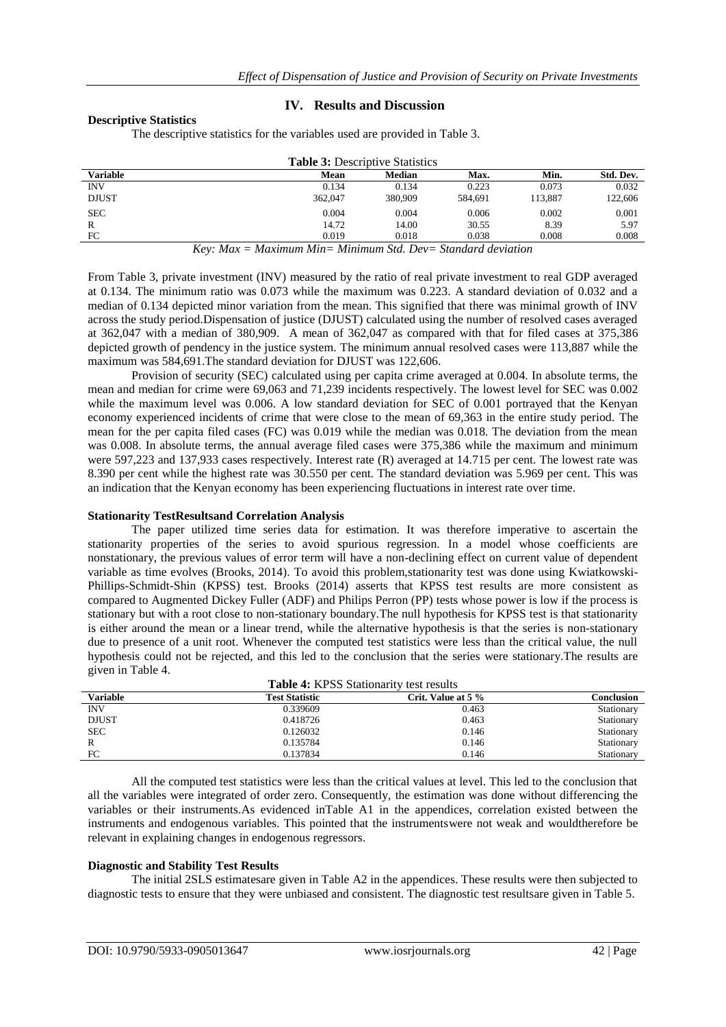#### **Descriptive Statistics**

## **IV. Results and Discussion**

The descriptive statistics for the variables used are provided in Table 3.

|                 |              |              |              | <b>Table 3: Descriptive Statistics</b> |                   |                        |         |           |
|-----------------|--------------|--------------|--------------|----------------------------------------|-------------------|------------------------|---------|-----------|
| <b>Variable</b> |              |              |              | Mean                                   | <b>Median</b>     | <b>Max.</b>            | Min.    | Std. Dev. |
| <b>INV</b>      |              |              |              | 0.134                                  | 0.134             | 0.223                  | 0.073   | 0.032     |
| <b>DJUST</b>    |              |              |              | 362,047                                | 380,909           | 584.691                | 113.887 | 122,606   |
| <b>SEC</b>      |              |              |              | 0.004                                  | 0.004             | 0.006                  | 0.002   | 0.001     |
| R               |              |              |              | 14.72                                  | 14.00             | 30.55                  | 8.39    | 5.97      |
| FC              |              |              |              | 0.019                                  | 0.018             | 0.038                  | 0.008   | 0.008     |
|                 | $\mathbf{r}$ | $\mathbf{z}$ | $\mathbf{z}$ | $\cdots$<br>$\cdots$                   | $Ci$ $\mathbb{R}$ | $\mathbf{1}$<br>$\sim$ |         |           |

*Key: Max = Maximum Min= Minimum Std. Dev= Standard deviation*

From Table 3, private investment (INV) measured by the ratio of real private investment to real GDP averaged at 0.134. The minimum ratio was 0.073 while the maximum was 0.223. A standard deviation of 0.032 and a median of 0.134 depicted minor variation from the mean. This signified that there was minimal growth of INV across the study period.Dispensation of justice (DJUST) calculated using the number of resolved cases averaged at 362,047 with a median of 380,909. A mean of 362,047 as compared with that for filed cases at 375,386 depicted growth of pendency in the justice system. The minimum annual resolved cases were 113,887 while the maximum was 584,691.The standard deviation for DJUST was 122,606.

Provision of security (SEC) calculated using per capita crime averaged at 0.004. In absolute terms, the mean and median for crime were 69,063 and 71,239 incidents respectively. The lowest level for SEC was 0.002 while the maximum level was 0.006. A low standard deviation for SEC of 0.001 portrayed that the Kenyan economy experienced incidents of crime that were close to the mean of 69,363 in the entire study period. The mean for the per capita filed cases (FC) was 0.019 while the median was 0.018. The deviation from the mean was 0.008. In absolute terms, the annual average filed cases were 375,386 while the maximum and minimum were 597,223 and 137,933 cases respectively. Interest rate (R) averaged at 14.715 per cent. The lowest rate was 8.390 per cent while the highest rate was 30.550 per cent. The standard deviation was 5.969 per cent. This was an indication that the Kenyan economy has been experiencing fluctuations in interest rate over time.

## **Stationarity TestResultsand Correlation Analysis**

The paper utilized time series data for estimation. It was therefore imperative to ascertain the stationarity properties of the series to avoid spurious regression. In a model whose coefficients are nonstationary, the previous values of error term will have a non-declining effect on current value of dependent variable as time evolves (Brooks, 2014). To avoid this problem,stationarity test was done using Kwiatkowski-Phillips-Schmidt-Shin (KPSS) test. Brooks (2014) asserts that KPSS test results are more consistent as compared to Augmented Dickey Fuller (ADF) and Philips Perron (PP) tests whose power is low if the process is stationary but with a root close to non-stationary boundary.The null hypothesis for KPSS test is that stationarity is either around the mean or a linear trend, while the alternative hypothesis is that the series is non-stationary due to presence of a unit root. Whenever the computed test statistics were less than the critical value, the null hypothesis could not be rejected, and this led to the conclusion that the series were stationary.The results are given in Table 4.

|                 | Table 4: KPSS Stationarity test results |                    |            |  |  |  |  |
|-----------------|-----------------------------------------|--------------------|------------|--|--|--|--|
| <b>Variable</b> | <b>Test Statistic</b>                   | Crit. Value at 5 % | Conclusion |  |  |  |  |
| <b>INV</b>      | 0.339609                                | 0.463              | Stationary |  |  |  |  |
| <b>DJUST</b>    | 0.418726                                | 0.463              | Stationary |  |  |  |  |
| <b>SEC</b>      | 0.126032                                | 0.146              | Stationary |  |  |  |  |
| R               | 0.135784                                | 0.146              | Stationary |  |  |  |  |
| FC              | 0.137834                                | 0.146              | Stationary |  |  |  |  |

All the computed test statistics were less than the critical values at level. This led to the conclusion that all the variables were integrated of order zero. Consequently, the estimation was done without differencing the variables or their instruments.As evidenced inTable A1 in the appendices, correlation existed between the instruments and endogenous variables. This pointed that the instrumentswere not weak and wouldtherefore be relevant in explaining changes in endogenous regressors.

## **Diagnostic and Stability Test Results**

The initial 2SLS estimatesare given in Table A2 in the appendices. These results were then subjected to diagnostic tests to ensure that they were unbiased and consistent. The diagnostic test resultsare given in Table 5.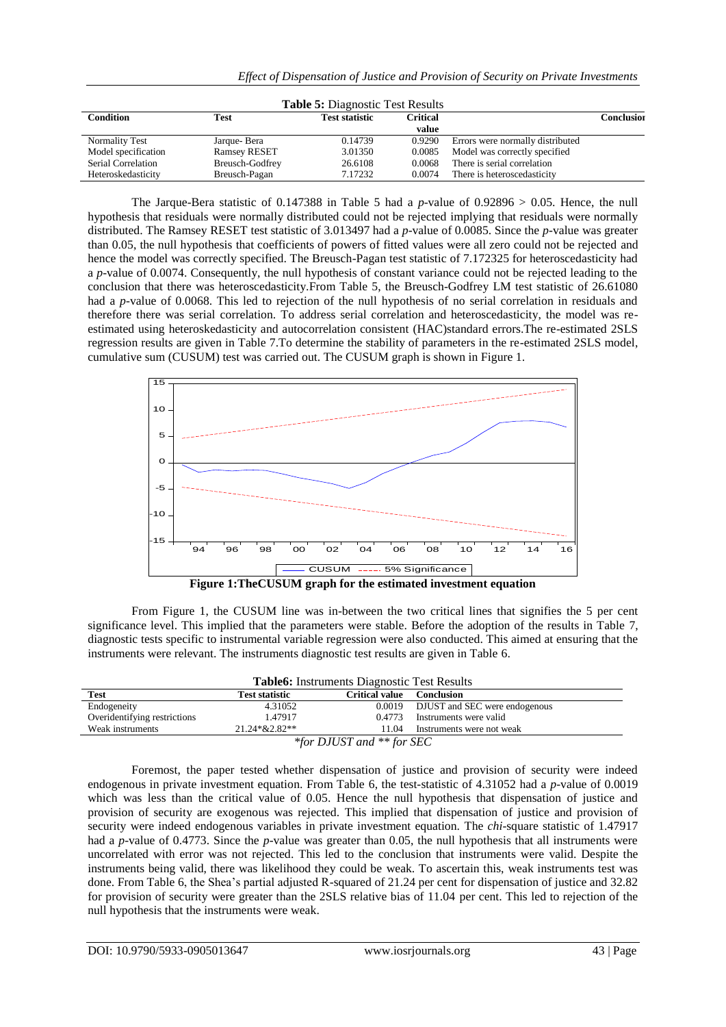|  |  |  |  |  |  |  | Effect of Dispensation of Justice and Provision of Security on Private Investments |
|--|--|--|--|--|--|--|------------------------------------------------------------------------------------|
|  |  |  |  |  |  |  |                                                                                    |

|                     |                     | <b>Table 5: Diagnostic Test Results</b> |                   |                                  |                   |
|---------------------|---------------------|-----------------------------------------|-------------------|----------------------------------|-------------------|
| <b>Condition</b>    | <b>Test</b>         | <b>Test statistic</b>                   | Critical<br>value |                                  | <b>Conclusion</b> |
| Normality Test      | Jarque-Bera         | 0.14739                                 | 0.9290            | Errors were normally distributed |                   |
| Model specification | <b>Ramsey RESET</b> | 3.01350                                 | 0.0085            | Model was correctly specified    |                   |
| Serial Correlation  | Breusch-Godfrey     | 26.6108                                 | 0.0068            | There is serial correlation      |                   |
| Heteroskedasticity  | Breusch-Pagan       | 7.17232                                 | 0.0074            | There is heteroscedasticity      |                   |

The Jarque-Bera statistic of 0.147388 in Table 5 had a *p*-value of 0.92896 > 0.05. Hence, the null hypothesis that residuals were normally distributed could not be rejected implying that residuals were normally distributed. The Ramsey RESET test statistic of 3.013497 had a *p*-value of 0.0085. Since the *p*-value was greater than 0.05, the null hypothesis that coefficients of powers of fitted values were all zero could not be rejected and hence the model was correctly specified. The Breusch-Pagan test statistic of 7.172325 for heteroscedasticity had a *p*-value of 0.0074. Consequently, the null hypothesis of constant variance could not be rejected leading to the conclusion that there was heteroscedasticity.From Table 5, the Breusch-Godfrey LM test statistic of 26.61080 had a *p*-value of 0.0068. This led to rejection of the null hypothesis of no serial correlation in residuals and therefore there was serial correlation. To address serial correlation and heteroscedasticity, the model was reestimated using heteroskedasticity and autocorrelation consistent (HAC)standard errors.The re-estimated 2SLS regression results are given in Table 7.To determine the stability of parameters in the re-estimated 2SLS model, cumulative sum (CUSUM) test was carried out. The CUSUM graph is shown in Figure 1.



From Figure 1, the CUSUM line was in-between the two critical lines that signifies the 5 per cent significance level. This implied that the parameters were stable. Before the adoption of the results in Table 7, diagnostic tests specific to instrumental variable regression were also conducted. This aimed at ensuring that the instruments were relevant. The instruments diagnostic test results are given in Table 6.

| <b>Table6:</b> Instruments Diagnostic Test Results                        |                       |                       |                               |  |  |  |
|---------------------------------------------------------------------------|-----------------------|-----------------------|-------------------------------|--|--|--|
| <b>Test</b>                                                               | <b>Test statistic</b> | <b>Critical value</b> | <b>Conclusion</b>             |  |  |  |
| 4.31052<br>Endogeneity<br>0.0019 DJUST and SEC were endogenous            |                       |                       |                               |  |  |  |
| Overidentifying restrictions                                              | 1.47917               |                       | 0.4773 Instruments were valid |  |  |  |
| $21.24*&2.82**$<br>Weak instruments<br>Instruments were not weak<br>11.04 |                       |                       |                               |  |  |  |
| *for DJUST and ** for SEC                                                 |                       |                       |                               |  |  |  |

Foremost, the paper tested whether dispensation of justice and provision of security were indeed endogenous in private investment equation. From Table 6, the test*-*statistic of 4.31052 had a *p*-value of 0.0019 which was less than the critical value of 0.05. Hence the null hypothesis that dispensation of justice and provision of security are exogenous was rejected. This implied that dispensation of justice and provision of security were indeed endogenous variables in private investment equation. The *chi*-square statistic of 1.47917 had a *p*-value of 0.4773. Since the *p*-value was greater than 0.05, the null hypothesis that all instruments were uncorrelated with error was not rejected. This led to the conclusion that instruments were valid. Despite the instruments being valid, there was likelihood they could be weak. To ascertain this, weak instruments test was done. From Table 6, the Shea's partial adjusted R-squared of 21.24 per cent for dispensation of justice and 32.82 for provision of security were greater than the 2SLS relative bias of 11.04 per cent. This led to rejection of the null hypothesis that the instruments were weak.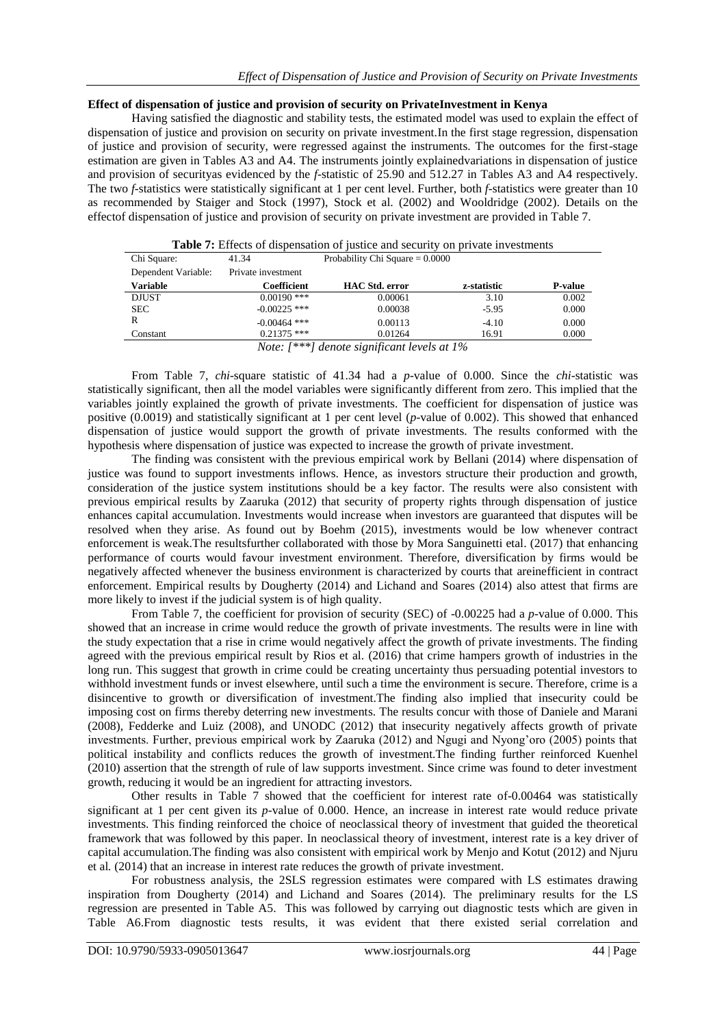#### **Effect of dispensation of justice and provision of security on PrivateInvestment in Kenya**

Having satisfied the diagnostic and stability tests, the estimated model was used to explain the effect of dispensation of justice and provision on security on private investment.In the first stage regression, dispensation of justice and provision of security, were regressed against the instruments. The outcomes for the first-stage estimation are given in Tables A3 and A4. The instruments jointly explainedvariations in dispensation of justice and provision of securityas evidenced by the *f-*statistic of 25.90 and 512.27 in Tables A3 and A4 respectively. The two *f-*statistics were statistically significant at 1 per cent level. Further, both *f-*statistics were greater than 10 as recommended by Staiger and Stock (1997), Stock et al. (2002) and Wooldridge (2002). Details on the effectof dispensation of justice and provision of security on private investment are provided in Table 7.

|                     |                    | <b>Table 7:</b> Effects of dispensation of justice and security on private investments |             |                |
|---------------------|--------------------|----------------------------------------------------------------------------------------|-------------|----------------|
| Chi Square:         | 41.34              | Probability Chi Square $= 0.0000$                                                      |             |                |
| Dependent Variable: | Private investment |                                                                                        |             |                |
| <b>Variable</b>     | Coefficient        | <b>HAC Std. error</b>                                                                  | z-statistic | <b>P-value</b> |
| <b>DJUST</b>        | $0.00190$ ***      | 0.00061                                                                                | 3.10        | 0.002          |
| <b>SEC</b>          | $-0.00225$ ***     | 0.00038                                                                                | $-5.95$     | 0.000          |
| R                   | $-0.00464$ ***     | 0.00113                                                                                | $-4.10$     | 0.000          |
| Constant            | $0.21375$ ***      | 0.01264                                                                                | 16.91       | 0.000          |
|                     |                    | Note: $[$ *** $]$ denote significant levels at $1\%$                                   |             |                |

*Note: [\*\*\*] denote significant levels at 1%*

From Table 7, *chi*-square statistic of 41.34 had a *p*-value of 0.000. Since the *chi*-statistic was statistically significant, then all the model variables were significantly different from zero. This implied that the variables jointly explained the growth of private investments. The coefficient for dispensation of justice was positive (0.0019) and statistically significant at 1 per cent level (*p*-value of 0.002). This showed that enhanced dispensation of justice would support the growth of private investments. The results conformed with the hypothesis where dispensation of justice was expected to increase the growth of private investment.

The finding was consistent with the previous empirical work by Bellani (2014) where dispensation of justice was found to support investments inflows. Hence, as investors structure their production and growth, consideration of the justice system institutions should be a key factor. The results were also consistent with previous empirical results by Zaaruka (2012) that security of property rights through dispensation of justice enhances capital accumulation. Investments would increase when investors are guaranteed that disputes will be resolved when they arise. As found out by Boehm (2015), investments would be low whenever contract enforcement is weak.The resultsfurther collaborated with those by Mora Sanguinetti etal. (2017) that enhancing performance of courts would favour investment environment. Therefore, diversification by firms would be negatively affected whenever the business environment is characterized by courts that areinefficient in contract enforcement. Empirical results by Dougherty (2014) and Lichand and Soares (2014) also attest that firms are more likely to invest if the judicial system is of high quality.

From Table 7, the coefficient for provision of security (SEC) of -0.00225 had a *p*-value of 0.000. This showed that an increase in crime would reduce the growth of private investments. The results were in line with the study expectation that a rise in crime would negatively affect the growth of private investments. The finding agreed with the previous empirical result by Rios et al. (2016) that crime hampers growth of industries in the long run. This suggest that growth in crime could be creating uncertainty thus persuading potential investors to withhold investment funds or invest elsewhere, until such a time the environment is secure. Therefore, crime is a disincentive to growth or diversification of investment.The finding also implied that insecurity could be imposing cost on firms thereby deterring new investments. The results concur with those of Daniele and Marani (2008), Fedderke and Luiz (2008), and UNODC (2012) that insecurity negatively affects growth of private investments. Further, previous empirical work by Zaaruka (2012) and Ngugi and Nyong'oro (2005) points that political instability and conflicts reduces the growth of investment.The finding further reinforced Kuenhel (2010) assertion that the strength of rule of law supports investment. Since crime was found to deter investment growth, reducing it would be an ingredient for attracting investors.

Other results in Table 7 showed that the coefficient for interest rate of-0.00464 was statistically significant at 1 per cent given its *p*-value of 0.000. Hence, an increase in interest rate would reduce private investments. This finding reinforced the choice of neoclassical theory of investment that guided the theoretical framework that was followed by this paper. In neoclassical theory of investment, interest rate is a key driver of capital accumulation.The finding was also consistent with empirical work by Menjo and Kotut (2012) and Njuru et al*.* (2014) that an increase in interest rate reduces the growth of private investment.

For robustness analysis, the 2SLS regression estimates were compared with LS estimates drawing inspiration from Dougherty (2014) and Lichand and Soares (2014). The preliminary results for the LS regression are presented in Table A5. This was followed by carrying out diagnostic tests which are given in Table A6.From diagnostic tests results, it was evident that there existed serial correlation and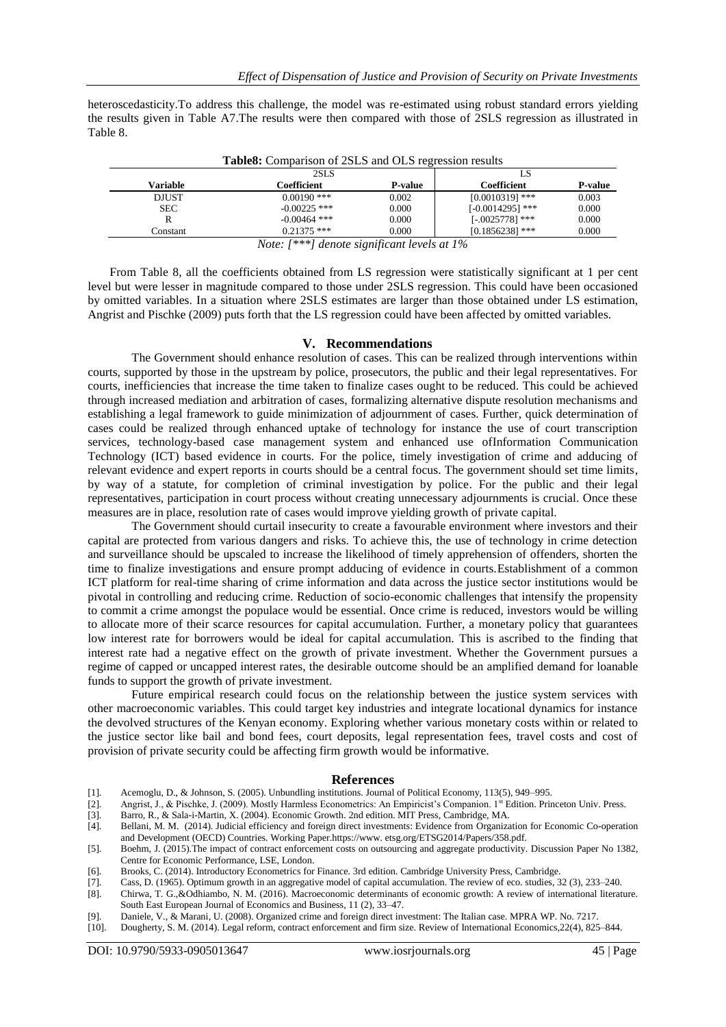heteroscedasticity.To address this challenge, the model was re-estimated using robust standard errors yielding the results given in Table A7.The results were then compared with those of 2SLS regression as illustrated in Table 8.

|              | 2SLS           |                | LS                 |         |
|--------------|----------------|----------------|--------------------|---------|
| Variable     | Coefficient    | <b>P-value</b> | Coefficient        | P-value |
| <b>DJUST</b> | $0.00190$ ***  | 0.002          | $[0.0010319]$ ***  | 0.003   |
| <b>SEC</b>   | $-0.00225$ *** | 0.000          | $[-0.0014295]$ *** | 0.000   |
|              | $-0.00464$ *** | 0.000          | $[-.0025778]$ ***  | 0.000   |
| Constant     | $0.21375$ ***  | 0.000          | $[0.1856238]$ ***  | 0.000   |

**Table8:** Comparison of 2SLS and OLS regression results

*Note: [\*\*\*] denote significant levels at 1%*

From Table 8, all the coefficients obtained from LS regression were statistically significant at 1 per cent level but were lesser in magnitude compared to those under 2SLS regression. This could have been occasioned by omitted variables. In a situation where 2SLS estimates are larger than those obtained under LS estimation, Angrist and Pischke (2009) puts forth that the LS regression could have been affected by omitted variables.

#### **V. Recommendations**

The Government should enhance resolution of cases. This can be realized through interventions within courts, supported by those in the upstream by police, prosecutors, the public and their legal representatives. For courts, inefficiencies that increase the time taken to finalize cases ought to be reduced. This could be achieved through increased mediation and arbitration of cases, formalizing alternative dispute resolution mechanisms and establishing a legal framework to guide minimization of adjournment of cases. Further, quick determination of cases could be realized through enhanced uptake of technology for instance the use of court transcription services, technology-based case management system and enhanced use ofInformation Communication Technology (ICT) based evidence in courts. For the police, timely investigation of crime and adducing of relevant evidence and expert reports in courts should be a central focus. The government should set time limits, by way of a statute, for completion of criminal investigation by police. For the public and their legal representatives, participation in court process without creating unnecessary adjournments is crucial. Once these measures are in place, resolution rate of cases would improve yielding growth of private capital.

The Government should curtail insecurity to create a favourable environment where investors and their capital are protected from various dangers and risks. To achieve this, the use of technology in crime detection and surveillance should be upscaled to increase the likelihood of timely apprehension of offenders, shorten the time to finalize investigations and ensure prompt adducing of evidence in courts.Establishment of a common ICT platform for real-time sharing of crime information and data across the justice sector institutions would be pivotal in controlling and reducing crime. Reduction of socio-economic challenges that intensify the propensity to commit a crime amongst the populace would be essential. Once crime is reduced, investors would be willing to allocate more of their scarce resources for capital accumulation. Further, a monetary policy that guarantees low interest rate for borrowers would be ideal for capital accumulation. This is ascribed to the finding that interest rate had a negative effect on the growth of private investment. Whether the Government pursues a regime of capped or uncapped interest rates, the desirable outcome should be an amplified demand for loanable funds to support the growth of private investment.

Future empirical research could focus on the relationship between the justice system services with other macroeconomic variables. This could target key industries and integrate locational dynamics for instance the devolved structures of the Kenyan economy. Exploring whether various monetary costs within or related to the justice sector like bail and bond fees, court deposits, legal representation fees, travel costs and cost of provision of private security could be affecting firm growth would be informative.

#### **References**

- [1]. Acemoglu, D., & Johnson, S. (2005). Unbundling institutions. Journal of Political Economy, 113(5), 949–995.
- [2]. Angrist, J., & Pischke, J. (2009). Mostly Harmless Econometrics: An Empiricist's Companion. 1st Edition. Princeton Univ. Press.
- [3]. Barro, R., & Sala-i-Martin, X. (2004). Economic Growth. 2nd edition. MIT Press, Cambridge, MA.
- [4]. Bellani, M. M. (2014). Judicial efficiency and foreign direct investments: Evidence from Organization for Economic Co-operation
- and Development (OECD) Countries. Working Paper.https://www. etsg.org/ETSG2014/Papers/358.pdf. [5]. Boehm, [J. \(2015\).T](https://econpapers.repec.org/RAS/pbo840.htm)he impact of contract enforcement costs on outsourcing and aggregate productivity. Discussion Paper No 1382, Centre for Economic Performance, LSE, London.
- 
- [6]. Brooks, C. (2014). Introductory Econometrics for Finance. 3rd edition. Cambridge University Press, Cambridge.
- [7]. Cass, D. (1965). Optimum growth in an aggregative model of capital accumulation. The review of eco. studies, 32 (3), 233–240. [8]. Chirwa, T. G.,&Odhiambo, N. M. (2016). Macroeconomic determinants of economic growth: A review of international literature.
- South East European Journal of Economics and Business, 11 (2), 33–47. [9]. Daniele, V., & Marani, U. (2008). Organized crime and foreign direct investment: The Italian case. MPRA WP. No. 7217.
- [10]. Dougherty, S. M. (2014). Legal reform, contract enforcement and firm size. Review of International Economics,22(4), 825–844.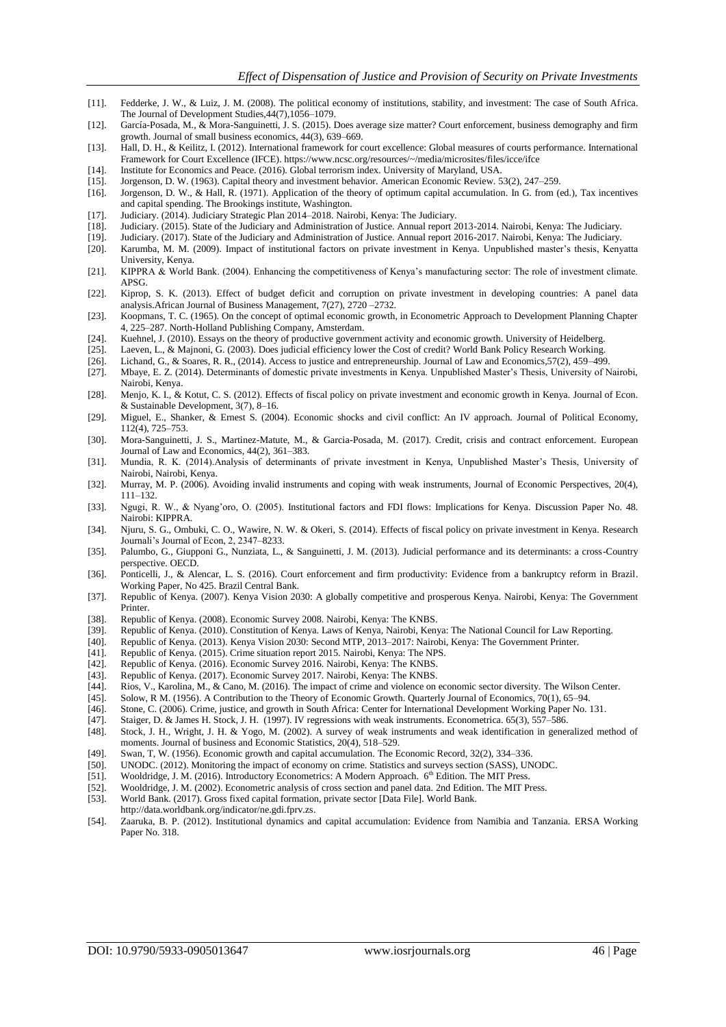- [11]. Fedderke, J. W., & Luiz, J. M. (2008). The political economy of institutions, stability, and investment: The case of South Africa. The Journal of Development Studies,44(7),1056–1079.
- [12]. García-Posada, M., & Mora-Sanguinetti, J. S. (2015). Does average size matter? Court enforcement, business demography and firm growth. Journal of small business economics, 44(3), 639–669.
- [13]. Hall, D. H., & Keilitz, I. (2012). International framework for court excellence: Global measures of courts performance. International Framework for Court Excellence (IFCE). https://www.ncsc.org/resources/~/media/microsites/files/icce/ifce
- [14]. Institute for Economics and Peace. (2016). Global terrorism index. University of Maryland, USA. [15]. Jorgenson, D. W. (1963). Capital theory and investment behavior. American Economic Review. 5
- [15]. Jorgenson, D. W. (1963). Capital theory and investment behavior. American Economic Review. 53(2), 247–259. [16]. Jorgenson, D. W., & Hall, R. (1971). Application of the theory of optimum capital accumulation. In G. f
- [16]. Jorgenson, D. W., & Hall, R. (1971). Application of the theory of optimum capital accumulation. In G. from (ed.), Tax incentives and capital spending. The Brookings institute, Washington.
- [17]. Judiciary. (2014). Judiciary Strategic Plan 2014–2018. Nairobi, Kenya: The Judiciary.
- [18]. Judiciary. (2015). State of the Judiciary and Administration of Justice. Annual report 2013-2014. Nairobi, Kenya: The Judiciary.
- [19]. Judiciary. (2017). State of the Judiciary and Administration of Justice. Annual report 2016-2017. Nairobi, Kenya: The Judiciary.
- [20]. Karumba, M. M. (2009). Impact of institutional factors on private investment in Kenya. Unpublished master's thesis, Kenyatta University, Kenya.
- [21]. KIPPRA & World Bank. (2004). Enhancing the competitiveness of Kenya's manufacturing sector: The role of investment climate. APSG.
- [22]. Kiprop, S. K. (2013). Effect of budget deficit and corruption on private investment in developing countries: A panel data analysis.African Journal of Business Management, 7(27), 2720 –2732.
- [23]. Koopmans, T. C. (1965). On the concept of optimal economic growth, in Econometric Approach to Development Planning Chapter 4, 225–287. North-Holland Publishing Company, Amsterdam.
- [24]. Kuehnel, J. (2010). Essays on the theory of productive government activity and economic growth. University of Heidelberg.
- [25]. Laeven, L., & Majnoni, G. (2003). Does judicial efficiency lower the Cost of credit? World Bank Policy Research Working.<br>[26]. Lichand, G., & Soares, R. R., (2014). Access to justice and entrepreneurship. Journal of
- [26]. Lichand, G., & Soares, R. R., (2014). Access to justice and entrepreneurship. Journal of Law and Economics,57(2), 459–499.
- [27]. Mbaye, E. Z. (2014). Determinants of domestic private investments in Kenya. Unpublished Master's Thesis, University of Nairobi, Nairobi, Kenya.
- [28]. Menjo, K. I., & Kotut, C. S. (2012). Effects of fiscal policy on private investment and economic growth in Kenya. Journal of Econ. & Sustainable Development, 3(7), 8–16.
- [29]. Miguel, E., Shanker, & Ernest S. (2004). Economic shocks and civil conflict: An IV approach. Journal of Political Economy, 112(4), 725–753.
- [30]. Mora-Sanguinetti, J. S., Martinez-Matute, M., & Garcia-Posada, M. (2017). Credit, crisis and contract enforcement. European Journal of Law and Economics, 44(2), 361–383.
- [31]. Mundia, R. K. (2014).Analysis of determinants of private investment in Kenya, Unpublished Master's Thesis, University of Nairobi, Nairobi, Kenya.
- [32]. Murray, M. P. (2006). Avoiding invalid instruments and coping with weak instruments, Journal of Economic Perspectives, 20(4), 111–132.
- [33]. Ngugi, R. W., & Nyang'oro, O. (2005). Institutional factors and FDI flows: Implications for Kenya. Discussion Paper No. 48. Nairobi: KIPPRA.
- [34]. Njuru, S. G., Ombuki, C. O., Wawire, N. W. & Okeri, S. (2014). Effects of fiscal policy on private investment in Kenya. Research Journali's Journal of Econ, 2, 2347–8233.
- [35]. Palumbo, G., Giupponi G., Nunziata, L., & Sanguinetti, J. M. (2013). Judicial performance and its determinants: a cross-Country perspective. OECD.
- [36]. Ponticelli, J., & Alencar, L. S. (2016). Court enforcement and firm productivity: Evidence from a bankruptcy reform in Brazil. Working Paper, No 425. Brazil Central Bank.
- [37]. Republic of Kenya. (2007). Kenya Vision 2030: A globally competitive and prosperous Kenya. Nairobi, Kenya: The Government Printer.
- [38]. Republic of Kenya. (2008). Economic Survey 2008. Nairobi, Kenya: The KNBS.
- [39]. Republic of Kenya. (2010). Constitution of Kenya. Laws of Kenya, Nairobi, Kenya: The National Council for Law Reporting.<br>[40] Republic of Kenya. (2013). Kenya Vision 2030: Second MTP. 2013–2017: Nairobi, Kenya: The G
- [40]. Republic of Kenya. (2013). Kenya Vision 2030: Second MTP, 2013–2017: Nairobi, Kenya: The Government Printer.
- [41]. Republic of Kenya. (2015). Crime situation report 2015. Nairobi, Kenya: The NPS.
- 
- [42]. Republic of Kenya. (2016). Economic Survey 2016. Nairobi, Kenya: The KNBS. Republic of Kenya. (2017). Economic Survey 2017. Nairobi, Kenya: The KNBS.
- [44]. Rios, V., Karolina, M., & Cano, M. (2016). The impact of crime and violence on economic sector diversity. The Wilson Center.
- [45]. Solow, R M. (1956). A Contribution to the Theory of Economic Growth. Quarterly Journal of Economics, 70(1), 65–94.
- [46]. Stone, C. (2006). Crime, justice, and growth in South Africa: Center for International Development Working Paper No. 131.
- [47]. Staiger, D. & James H. Stock, J. H. (1997). IV regressions with weak instruments. Econometrica. 65(3), 557–586.
- [48]. Stock, J. H., Wright, J. H. & Yogo, M. (2002). A survey of weak instruments and weak identification in generalized method of moments. Journal of business and Economic Statistics, 20(4), 518–529.
- [49]. Swan, T, W. (1956). Economic growth and capital accumulation. The Economic Record, 32(2), 334–336.
- [50]. UNODC. (2012). Monitoring the impact of economy on crime. Statistics and surveys section (SASS), UNODC.
- [51]. Wooldridge, J. M. (2016). Introductory Econometrics: A Modern Approach. 6<sup>th</sup> Edition. The MIT Press.
- [52]. Wooldridge, J. M. (2002). Econometric analysis of cross section and panel data. 2nd Edition. The MIT Press.
- [53]. World Bank. (2017). Gross fixed capital formation, private sector [Data File]. World Bank.
- http://data.worldbank.org/indicator/ne.gdi.fprv.zs.
- [54]. Zaaruka, B. P. (2012). Institutional dynamics and capital accumulation: Evidence from Namibia and Tanzania. ERSA Working Paper No. 318.